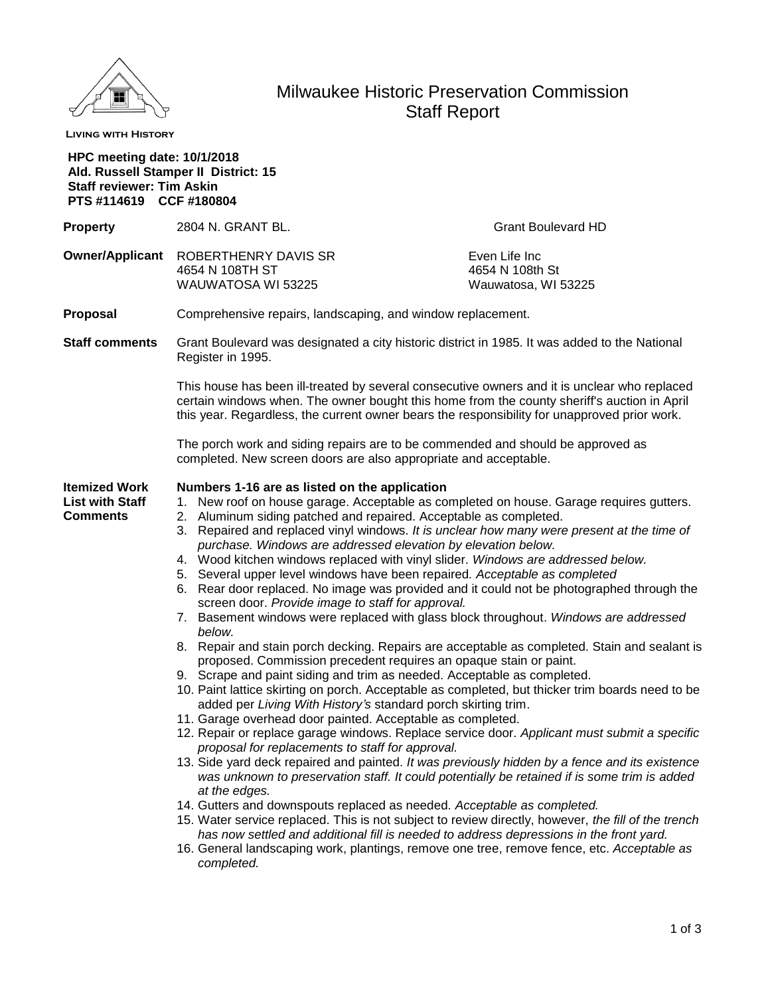

# Milwaukee Historic Preservation Commission Staff Report

**Living with History**

| <b>HPC meeting date: 10/1/2018</b><br><b>Staff reviewer: Tim Askin</b><br>PTS #114619 CCF #180804 | Ald. Russell Stamper II District: 15                                                                                                                                                                                                                                                                                                                                                                                                                                                                                                                                                                                                                                                                                                                                                                                                                                                                                                                                                                                                                                                                                                                                                                                                                                                                                                                                                                                                                                                                                                                                                                                                                                                                                                                                                                                                                                                                                                      |                                                         |
|---------------------------------------------------------------------------------------------------|-------------------------------------------------------------------------------------------------------------------------------------------------------------------------------------------------------------------------------------------------------------------------------------------------------------------------------------------------------------------------------------------------------------------------------------------------------------------------------------------------------------------------------------------------------------------------------------------------------------------------------------------------------------------------------------------------------------------------------------------------------------------------------------------------------------------------------------------------------------------------------------------------------------------------------------------------------------------------------------------------------------------------------------------------------------------------------------------------------------------------------------------------------------------------------------------------------------------------------------------------------------------------------------------------------------------------------------------------------------------------------------------------------------------------------------------------------------------------------------------------------------------------------------------------------------------------------------------------------------------------------------------------------------------------------------------------------------------------------------------------------------------------------------------------------------------------------------------------------------------------------------------------------------------------------------------|---------------------------------------------------------|
| <b>Property</b>                                                                                   | 2804 N. GRANT BL.                                                                                                                                                                                                                                                                                                                                                                                                                                                                                                                                                                                                                                                                                                                                                                                                                                                                                                                                                                                                                                                                                                                                                                                                                                                                                                                                                                                                                                                                                                                                                                                                                                                                                                                                                                                                                                                                                                                         | <b>Grant Boulevard HD</b>                               |
|                                                                                                   | Owner/Applicant ROBERTHENRY DAVIS SR<br>4654 N 108TH ST<br>WAUWATOSA WI 53225                                                                                                                                                                                                                                                                                                                                                                                                                                                                                                                                                                                                                                                                                                                                                                                                                                                                                                                                                                                                                                                                                                                                                                                                                                                                                                                                                                                                                                                                                                                                                                                                                                                                                                                                                                                                                                                             | Even Life Inc<br>4654 N 108th St<br>Wauwatosa, WI 53225 |
| Proposal                                                                                          | Comprehensive repairs, landscaping, and window replacement.                                                                                                                                                                                                                                                                                                                                                                                                                                                                                                                                                                                                                                                                                                                                                                                                                                                                                                                                                                                                                                                                                                                                                                                                                                                                                                                                                                                                                                                                                                                                                                                                                                                                                                                                                                                                                                                                               |                                                         |
| <b>Staff comments</b>                                                                             | Grant Boulevard was designated a city historic district in 1985. It was added to the National<br>Register in 1995.                                                                                                                                                                                                                                                                                                                                                                                                                                                                                                                                                                                                                                                                                                                                                                                                                                                                                                                                                                                                                                                                                                                                                                                                                                                                                                                                                                                                                                                                                                                                                                                                                                                                                                                                                                                                                        |                                                         |
|                                                                                                   | This house has been ill-treated by several consecutive owners and it is unclear who replaced<br>certain windows when. The owner bought this home from the county sheriff's auction in April<br>this year. Regardless, the current owner bears the responsibility for unapproved prior work.                                                                                                                                                                                                                                                                                                                                                                                                                                                                                                                                                                                                                                                                                                                                                                                                                                                                                                                                                                                                                                                                                                                                                                                                                                                                                                                                                                                                                                                                                                                                                                                                                                               |                                                         |
|                                                                                                   | The porch work and siding repairs are to be commended and should be approved as<br>completed. New screen doors are also appropriate and acceptable.                                                                                                                                                                                                                                                                                                                                                                                                                                                                                                                                                                                                                                                                                                                                                                                                                                                                                                                                                                                                                                                                                                                                                                                                                                                                                                                                                                                                                                                                                                                                                                                                                                                                                                                                                                                       |                                                         |
| <b>Itemized Work</b><br><b>List with Staff</b><br><b>Comments</b>                                 | Numbers 1-16 are as listed on the application<br>1. New roof on house garage. Acceptable as completed on house. Garage requires gutters.<br>2. Aluminum siding patched and repaired. Acceptable as completed.<br>3. Repaired and replaced vinyl windows. It is unclear how many were present at the time of<br>purchase. Windows are addressed elevation by elevation below.<br>4. Wood kitchen windows replaced with vinyl slider. Windows are addressed below.<br>5. Several upper level windows have been repaired. Acceptable as completed<br>6. Rear door replaced. No image was provided and it could not be photographed through the<br>screen door. Provide image to staff for approval.<br>7. Basement windows were replaced with glass block throughout. Windows are addressed<br>below.<br>8. Repair and stain porch decking. Repairs are acceptable as completed. Stain and sealant is<br>proposed. Commission precedent requires an opaque stain or paint.<br>9. Scrape and paint siding and trim as needed. Acceptable as completed.<br>10. Paint lattice skirting on porch. Acceptable as completed, but thicker trim boards need to be<br>added per Living With History's standard porch skirting trim.<br>11. Garage overhead door painted. Acceptable as completed.<br>12. Repair or replace garage windows. Replace service door. Applicant must submit a specific<br>proposal for replacements to staff for approval.<br>13. Side yard deck repaired and painted. It was previously hidden by a fence and its existence<br>was unknown to preservation staff. It could potentially be retained if is some trim is added<br>at the edges.<br>14. Gutters and downspouts replaced as needed. Acceptable as completed.<br>15. Water service replaced. This is not subject to review directly, however, the fill of the trench<br>has now settled and additional fill is needed to address depressions in the front yard. |                                                         |

16. General landscaping work, plantings, remove one tree, remove fence, etc. *Acceptable as completed.*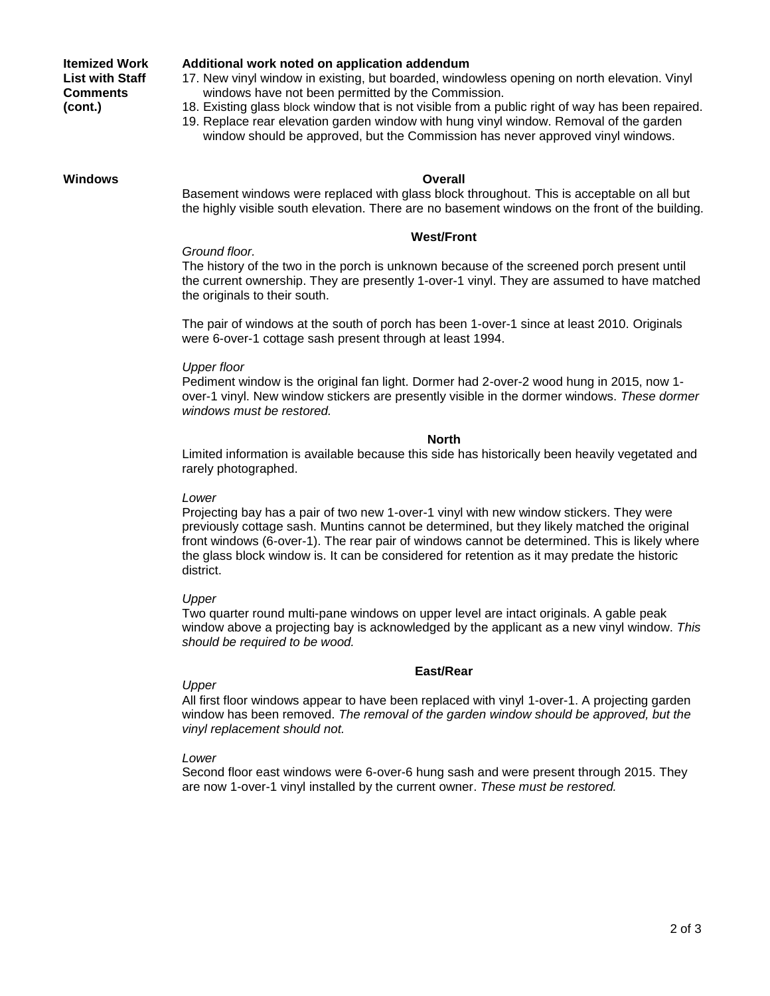# **Itemized Work List with Staff Comments (cont.)**

#### **Additional work noted on application addendum**

17. New vinyl window in existing, but boarded, windowless opening on north elevation. Vinyl windows have not been permitted by the Commission.

- 18. Existing glass block window that is not visible from a public right of way has been repaired.
- 19. Replace rear elevation garden window with hung vinyl window. Removal of the garden window should be approved, but the Commission has never approved vinyl windows.

# **Windows Overall**

Basement windows were replaced with glass block throughout. This is acceptable on all but the highly visible south elevation. There are no basement windows on the front of the building.

#### **West/Front**

### *Ground floor.*

The history of the two in the porch is unknown because of the screened porch present until the current ownership. They are presently 1-over-1 vinyl. They are assumed to have matched the originals to their south.

The pair of windows at the south of porch has been 1-over-1 since at least 2010. Originals were 6-over-1 cottage sash present through at least 1994.

### *Upper floor*

Pediment window is the original fan light. Dormer had 2-over-2 wood hung in 2015, now 1 over-1 vinyl. New window stickers are presently visible in the dormer windows. *These dormer windows must be restored.*

#### **North**

Limited information is available because this side has historically been heavily vegetated and rarely photographed.

#### *Lower*

Projecting bay has a pair of two new 1-over-1 vinyl with new window stickers. They were previously cottage sash. Muntins cannot be determined, but they likely matched the original front windows (6-over-1). The rear pair of windows cannot be determined. This is likely where the glass block window is. It can be considered for retention as it may predate the historic district.

#### *Upper*

Two quarter round multi-pane windows on upper level are intact originals. A gable peak window above a projecting bay is acknowledged by the applicant as a new vinyl window. *This should be required to be wood.*

# **East/Rear**

# *Upper*

All first floor windows appear to have been replaced with vinyl 1-over-1. A projecting garden window has been removed. *The removal of the garden window should be approved, but the vinyl replacement should not.*

# *Lower*

Second floor east windows were 6-over-6 hung sash and were present through 2015. They are now 1-over-1 vinyl installed by the current owner. *These must be restored.*